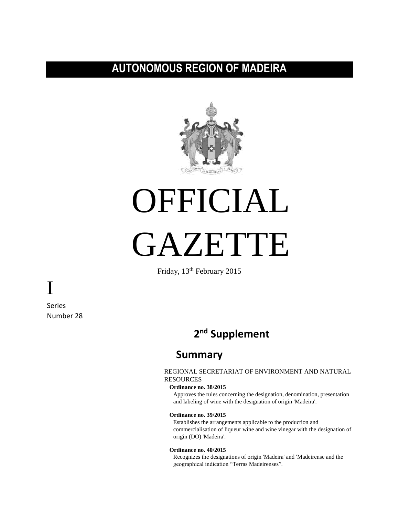# **AUTONOMOUS REGION OF MADEIRA**



# OFFICIAL



Friday, 13th February 2015

Series Number 28

I

# **2 nd Supplement**

# **Summary**

# REGIONAL SECRETARIAT OF ENVIRONMENT AND NATURAL RESOURCES

# **Ordinance no. 38/2015**

Approves the rules concerning the designation, denomination, presentation and labeling of wine with the designation of origin 'Madeira'.

#### **Ordinance no. 39/2015**

Establishes the arrangements applicable to the production and commercialisation of liqueur wine and wine vinegar with the designation of origin (DO) 'Madeira'.

#### **Ordinance no. 40/2015**

Recognizes the designations of origin 'Madeira' and 'Madeirense and the geographical indication "Terras Madeirenses".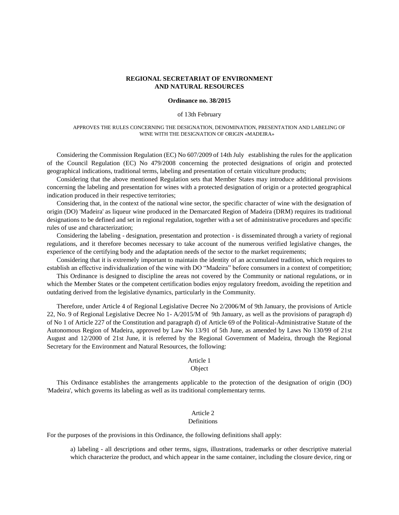## **REGIONAL SECRETARIAT OF ENVIRONMENT AND NATURAL RESOURCES**

#### **Ordinance no. 38/2015**

#### of 13th February

#### APPROVES THE RULES CONCERNING THE DESIGNATION, DENOMINATION, PRESENTATION AND LABELING OF WINE WITH THE DESIGNATION OF ORIGIN «MADEIRA»

Considering the Commission Regulation (EC) No 607/2009 of 14th July establishing the rules for the application of the Council Regulation (EC) No 479/2008 concerning the protected designations of origin and protected geographical indications, traditional terms, labeling and presentation of certain viticulture products;

Considering that the above mentioned Regulation sets that Member States may introduce additional provisions concerning the labeling and presentation for wines with a protected designation of origin or a protected geographical indication produced in their respective territories;

Considering that, in the context of the national wine sector, the specific character of wine with the designation of origin (DO) 'Madeira' as liqueur wine produced in the Demarcated Region of Madeira (DRM) requires its traditional designations to be defined and set in regional regulation, together with a set of administrative procedures and specific rules of use and characterization;

Considering the labeling - designation, presentation and protection - is disseminated through a variety of regional regulations, and it therefore becomes necessary to take account of the numerous verified legislative changes, the experience of the certifying body and the adaptation needs of the sector to the market requirements;

Considering that it is extremely important to maintain the identity of an accumulated tradition, which requires to establish an effective individualization of the wine with DO "Madeira" before consumers in a context of competition;

This Ordinance is designed to discipline the areas not covered by the Community or national regulations, or in which the Member States or the competent certification bodies enjoy regulatory freedom, avoiding the repetition and outdating derived from the legislative dynamics, particularly in the Community.

Therefore, under Article 4 of Regional Legislative Decree No 2/2006/M of 9th January, the provisions of Article 22, No. 9 of Regional Legislative Decree No 1- A/2015/M of 9th January, as well as the provisions of paragraph d) of No 1 of Article 227 of the Constitution and paragraph d) of Article 69 of the Political-Administrative Statute of the Autonomous Region of Madeira, approved by Law No 13/91 of 5th June, as amended by Laws No 130/99 of 21st August and 12/2000 of 21st June, it is referred by the Regional Government of Madeira, through the Regional Secretary for the Environment and Natural Resources, the following:

#### Article 1

#### Object

This Ordinance establishes the arrangements applicable to the protection of the designation of origin (DO) 'Madeira', which governs its labeling as well as its traditional complementary terms.

# Article 2

## Definitions

For the purposes of the provisions in this Ordinance, the following definitions shall apply:

a) labeling - all descriptions and other terms, signs, illustrations, trademarks or other descriptive material which characterize the product, and which appear in the same container, including the closure device, ring or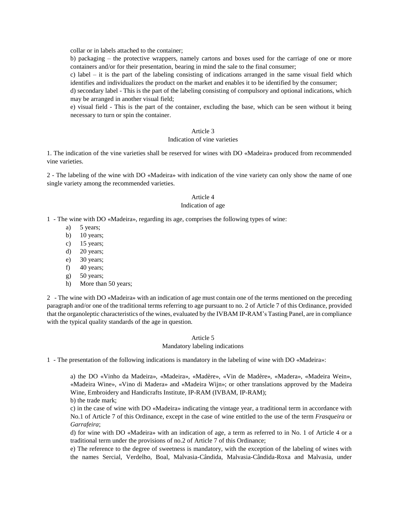collar or in labels attached to the container;

b) packaging – the protective wrappers, namely cartons and boxes used for the carriage of one or more containers and/or for their presentation, bearing in mind the sale to the final consumer;

c) label – it is the part of the labeling consisting of indications arranged in the same visual field which identifies and individualizes the product on the market and enables it to be identified by the consumer;

d) secondary label - This is the part of the labeling consisting of compulsory and optional indications, which may be arranged in another visual field;

e) visual field - This is the part of the container, excluding the base, which can be seen without it being necessary to turn or spin the container.

#### Article 3

#### Indication of vine varieties

1. The indication of the vine varieties shall be reserved for wines with DO «Madeira» produced from recommended vine varieties.

2 - The labeling of the wine with DO «Madeira» with indication of the vine variety can only show the name of one single variety among the recommended varieties.

# Article 4

# Indication of age

1 - The wine with DO «Madeira», regarding its age, comprises the following types of wine:

- a) 5 years;
- b)  $10$  years;
- c) 15 years;
- d) 20 years;
- e) 30 years;
- f)  $40$  years;
- g) 50 years;
- h) More than 50 years;

2 - The wine with DO «Madeira» with an indication of age must contain one of the terms mentioned on the preceding paragraph and/or one of the traditional terms referring to age pursuant to no. 2 of Article 7 of this Ordinance, provided that the organoleptic characteristics of the wines, evaluated by the IVBAM IP-RAM's Tasting Panel, are in compliance with the typical quality standards of the age in question.

#### Article 5

#### Mandatory labeling indications

1 - The presentation of the following indications is mandatory in the labeling of wine with DO «Madeira»:

a) the DO «Vinho da Madeira», «Madeira», «Madère», «Vin de Madère», «Madera», «Madeira Wein», «Madeira Wine», «Vino di Madera» and «Madeira Wijn»; or other translations approved by the Madeira Wine, Embroidery and Handicrafts Institute, IP-RAM (IVBAM, IP-RAM); b) the trade mark;

c) in the case of wine with DO «Madeira» indicating the vintage year, a traditional term in accordance with No.1 of Article 7 of this Ordinance, except in the case of wine entitled to the use of the term *Frasqueira* or *Garrafeira*;

d) for wine with DO «Madeira» with an indication of age, a term as referred to in No. 1 of Article 4 or a traditional term under the provisions of no.2 of Article 7 of this Ordinance;

e) The reference to the degree of sweetness is mandatory, with the exception of the labeling of wines with the names Sercial, Verdelho, Boal, Malvasia-Cândida, Malvasia-Cândida-Roxa and Malvasia, under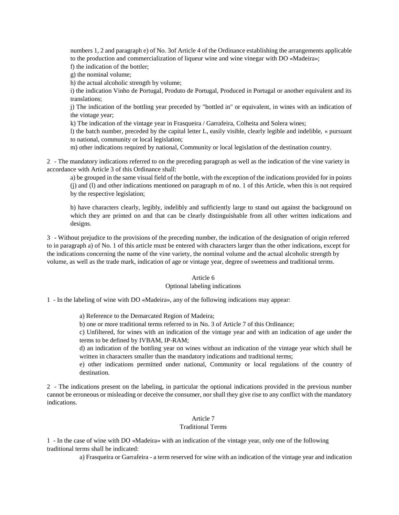numbers 1, 2 and paragraph e) of No. 3of Article 4 of the Ordinance establishing the arrangements applicable to the production and commercialization of liqueur wine and wine vinegar with DO «Madeira»;

f) the indication of the bottler;

g) the nominal volume;

h) the actual alcoholic strength by volume;

i) the indication Vinho de Portugal, Produto de Portugal, Produced in Portugal or another equivalent and its translations;

j) The indication of the bottling year preceded by "bottled in" or equivalent, in wines with an indication of the vintage year;

k) The indication of the vintage year in Frasqueira / Garrafeira, Colheita and Solera wines;

l) the batch number, preceded by the capital letter L, easily visible, clearly legible and indelible, « pursuant to national, community or local legislation;

m) other indications required by national, Community or local legislation of the destination country.

2 - The mandatory indications referred to on the preceding paragraph as well as the indication of the vine variety in accordance with Article 3 of this Ordinance shall:

a) be grouped in the same visual field of the bottle, with the exception of the indications provided for in points (j) and (l) and other indications mentioned on paragraph m of no. 1 of this Article, when this is not required by the respective legislation;

b) have characters clearly, legibly, indelibly and sufficiently large to stand out against the background on which they are printed on and that can be clearly distinguishable from all other written indications and designs.

3 - Without prejudice to the provisions of the preceding number, the indication of the designation of origin referred to in paragraph a) of No. 1 of this article must be entered with characters larger than the other indications, except for the indications concerning the name of the vine variety, the nominal volume and the actual alcoholic strength by volume, as well as the trade mark, indication of age or vintage year, degree of sweetness and traditional terms.

## Article 6

## Optional labeling indications

1 - In the labeling of wine with DO «Madeira», any of the following indications may appear:

a) Reference to the Demarcated Region of Madeira;

b) one or more traditional terms referred to in No. 3 of Article 7 of this Ordinance;

c) Unfiltered, for wines with an indication of the vintage year and with an indication of age under the terms to be defined by IVBAM, IP-RAM;

d) an indication of the bottling year on wines without an indication of the vintage year which shall be written in characters smaller than the mandatory indications and traditional terms;

e) other indications permitted under national, Community or local regulations of the country of destination.

2 - The indications present on the labeling, in particular the optional indications provided in the previous number cannot be erroneous or misleading or deceive the consumer, nor shall they give rise to any conflict with the mandatory indications.

# Article 7

# Traditional Terms

1 - In the case of wine with DO «Madeira» with an indication of the vintage year, only one of the following traditional terms shall be indicated:

a) Frasqueira or Garrafeira - a term reserved for wine with an indication of the vintage year and indication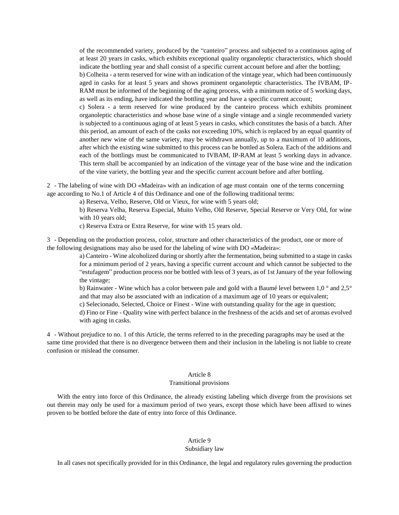of the recommended variety, produced by the "canteiro" process and subjected to a continuous aging of at least 20 years in casks, which exhibits exceptional quality organoleptic characteristics, which should indicate the bottling year and shall consist of a specific current account before and after the bottling; b) Colheita - a term reserved for wine with an indication of the vintage year, which had been continuously aged in casks for at least 5 years and shows prominent organoleptic characteristics. The IVBAM, IP-RAM must be informed of the beginning of the aging process, with a minimum notice of 5 working days, as well as its ending, have indicated the bottling year and have a specific current account; c) Solera - a term reserved for wine produced by the canteiro process which exhibits prominent organoleptic characteristics and whose base wine of a single vintage and a single recommended variety is subjected to a continuous aging of at least 5 years in casks, which constitutes the basis of a batch. After this period, an amount of each of the casks not exceeding 10%, which is replaced by an equal quantity of another new wine of the same variety, may be withdrawn annually, up to a maximum of 10 additions, after which the existing wine submitted to this process can be bottled as Solera. Each of the additions and each of the bottlings must be communicated to IVBAM, IP-RAM at least 5 working days in advance. This term shall be accompanied by an indication of the vintage year of the base wine and the indication of the vine variety, the bottling year and the specific current account before and after bottling.

2 - The labeling of wine with DO «Madeira» with an indication of age must contain one of the terms concerning age according to No.1 of Article 4 of this Ordinance and one of the following traditional terms:

a) Reserva, Velho, Reserve, Old or Vieux, for wine with 5 years old;

b) Reserva Velha, Reserva Especial, Muito Velho, Old Reserve, Special Reserve or Very Old, for wine with 10 years old;

c) Reserva Extra or Extra Reserve, for wine with 15 years old.

3 - Depending on the production process, color, structure and other characteristics of the product, one or more of the following designations may also be used for the labeling of wine with DO «Madeira»:

> a) Canteiro - Wine alcoholized during or shortly after the fermentation, being submitted to a stage in casks for a minimum period of 2 years, having a specific current account and which cannot be subjected to the "estufagem" production process nor be bottled with less of 3 years, as of 1st January of the year following the vintage;

> b) Rainwater - Wine which has a color between pale and gold with a Baumé level between  $1.0^{\circ}$  and  $2.5^{\circ}$ and that may also be associated with an indication of a maximum age of 10 years or equivalent;

c) Selecionado, Selected, Choice or Finest - Wine with outstanding quality for the age in question;

d) Fino or Fine - Quality wine with perfect balance in the freshness of the acids and set of aromas evolved with aging in casks.

4 - Without prejudice to no. 1 of this Article, the terms referred to in the preceding paragraphs may be used at the same time provided that there is no divergence between them and their inclusion in the labeling is not liable to create confusion or mislead the consumer.

# Article 8

## Transitional provisions

With the entry into force of this Ordinance, the already existing labeling which diverge from the provisions set out therein may only be used for a maximum period of two years, except those which have been affixed to wines proven to be bottled before the date of entry into force of this Ordinance.

# Article 9

## Subsidiary law

In all cases not specifically provided for in this Ordinance, the legal and regulatory rules governing the production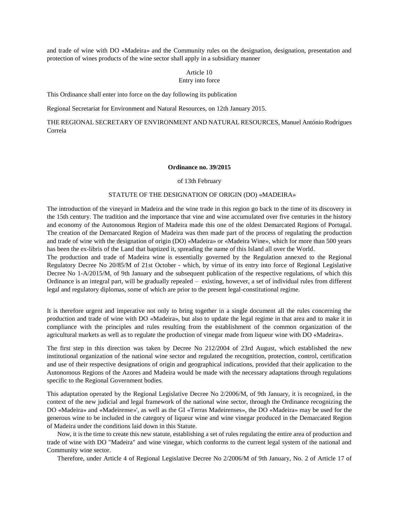and trade of wine with DO «Madeira» and the Community rules on the designation, designation, presentation and protection of wines products of the wine sector shall apply in a subsidiary manner

## Article 10 Entry into force

This Ordinance shall enter into force on the day following its publication

Regional Secretariat for Environment and Natural Resources, on 12th January 2015.

THE REGIONAL SECRETARY OF ENVIRONMENT AND NATURAL RESOURCES, Manuel António Rodrigues Correia

#### **Ordinance no. 39/2015**

of 13th February

# STATUTE OF THE DESIGNATION OF ORIGIN (DO) «MADEIRA»

The introduction of the vineyard in Madeira and the wine trade in this region go back to the time of its discovery in the 15th century. The tradition and the importance that vine and wine accumulated over five centuries in the history and economy of the Autonomous Region of Madeira made this one of the oldest Demarcated Regions of Portugal. The creation of the Demarcated Region of Madeira was then made part of the process of regulating the production and trade of wine with the designation of origin (DO) «Madeira» or «Madeira Wine», which for more than 500 years has been the ex-libris of the Land that baptized it, spreading the name of this Island all over the World.

The production and trade of Madeira wine is essentially governed by the Regulation annexed to the Regional Regulatory Decree No 20/85/M of 21st October - which, by virtue of its entry into force of Regional Legislative Decree No 1-A/2015/M, of 9th January and the subsequent publication of the respective regulations, of which this Ordinance is an integral part, will be gradually repealed – existing, however, a set of individual rules from different legal and regulatory diplomas, some of which are prior to the present legal-constitutional regime.

It is therefore urgent and imperative not only to bring together in a single document all the rules concerning the production and trade of wine with DO «Madeira», but also to update the legal regime in that area and to make it in compliance with the principles and rules resulting from the establishment of the common organization of the agricultural markets as well as to regulate the production of vinegar made from liqueur wine with DO «Madeira».

The first step in this direction was taken by Decree No 212/2004 of 23rd August, which established the new institutional organization of the national wine sector and regulated the recognition, protection, control, certification and use of their respective designations of origin and geographical indications, provided that their application to the Autonomous Regions of the Azores and Madeira would be made with the necessary adaptations through regulations specific to the Regional Government bodies.

This adaptation operated by the Regional Legislative Decree No 2/2006/M, of 9th January, it is recognized, in the context of the new judicial and legal framework of the national wine sector, through the Ordinance recognizing the DO «Madeira» and «Madeirense»', as well as the GI «Terras Madeirenses», the DO «Madeira» may be used for the generous wine to be included in the category of liqueur wine and wine vinegar produced in the Demarcated Region of Madeira under the conditions laid down in this Statute.

Now, it is the time to create this new statute, establishing a set of rules regulating the entire area of production and trade of wine with DO "Madeira" and wine vinegar, which conforms to the current legal system of the national and Community wine sector.

Therefore, under Article 4 of Regional Legislative Decree No 2/2006/M of 9th January, No. 2 of Article 17 of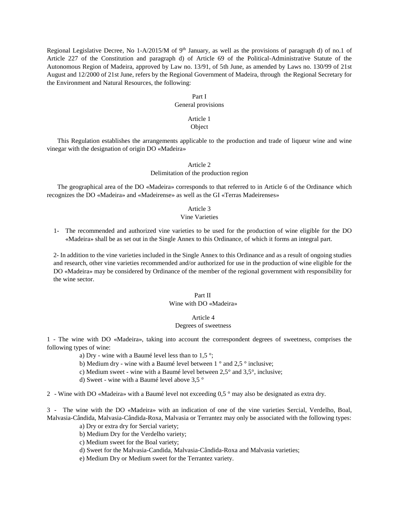Regional Legislative Decree, No 1-A/2015/M of 9<sup>th</sup> January, as well as the provisions of paragraph d) of no.1 of Article 227 of the Constitution and paragraph d) of Article 69 of the Political-Administrative Statute of the Autonomous Region of Madeira, approved by Law no. 13/91, of 5th June, as amended by Laws no. 130/99 of 21st August and 12/2000 of 21st June, refers by the Regional Government of Madeira, through the Regional Secretary for the Environment and Natural Resources, the following:

# Part I

#### General provisions

## Article 1 Object

This Regulation establishes the arrangements applicable to the production and trade of liqueur wine and wine vinegar with the designation of origin DO «Madeira»

## Article 2 Delimitation of the production region

The geographical area of the DO «Madeira» corresponds to that referred to in Article 6 of the Ordinance which recognizes the DO «Madeira» and «Madeirense» as well as the GI «Terras Madeirenses»

#### Article 3

# Vine Varieties

1- The recommended and authorized vine varieties to be used for the production of wine eligible for the DO «Madeira» shall be as set out in the Single Annex to this Ordinance, of which it forms an integral part.

2- In addition to the vine varieties included in the Single Annex to this Ordinance and as a result of ongoing studies and research, other vine varieties recommended and/or authorized for use in the production of wine eligible for the DO «Madeira» may be considered by Ordinance of the member of the regional government with responsibility for the wine sector.

#### Part II Wine with DO «Madeira»

#### Article 4

#### Degrees of sweetness

1 - The wine with DO «Madeira», taking into account the correspondent degrees of sweetness, comprises the following types of wine:

- a) Dry wine with a Baumé level less than to  $1.5^{\circ}$ ;
- b) Medium dry wine with a Baumé level between  $1^\circ$  and  $2.5^\circ$  inclusive;
- c) Medium sweet wine with a Baumé level between 2,5° and 3,5°, inclusive;
- d) Sweet wine with a Baumé level above 3,5 °

2 - Wine with DO «Madeira» with a Baumé level not exceeding 0,5 ° may also be designated as extra dry.

3 - The wine with the DO «Madeira» with an indication of one of the vine varieties Sercial, Verdelho, Boal, Malvasia-Cândida, Malvasia-Cândida-Roxa, Malvasia or Terrantez may only be associated with the following types:

- a) Dry or extra dry for Sercial variety;
- b) Medium Dry for the Verdelho variety;
- c) Medium sweet for the Boal variety;
- d) Sweet for the Malvasia-Candida, Malvasia-Cândida-Roxa and Malvasia varieties;
- e) Medium Dry or Medium sweet for the Terrantez variety.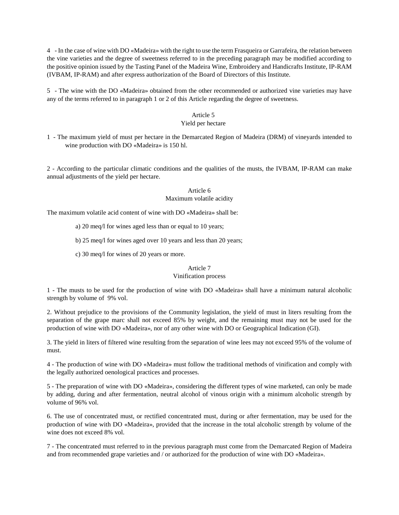4 - In the case of wine with DO «Madeira» with the right to use the term Frasqueira or Garrafeira, the relation between the vine varieties and the degree of sweetness referred to in the preceding paragraph may be modified according to the positive opinion issued by the Tasting Panel of the Madeira Wine, Embroidery and Handicrafts Institute, IP-RAM (IVBAM, IP-RAM) and after express authorization of the Board of Directors of this Institute.

5 - The wine with the DO «Madeira» obtained from the other recommended or authorized vine varieties may have any of the terms referred to in paragraph 1 or 2 of this Article regarding the degree of sweetness.

# Article 5

# Yield per hectare

1 - The maximum yield of must per hectare in the Demarcated Region of Madeira (DRM) of vineyards intended to wine production with DO «Madeira» is 150 hl.

2 - According to the particular climatic conditions and the qualities of the musts, the IVBAM, IP-RAM can make annual adjustments of the yield per hectare.

## Article 6

# Maximum volatile acidity

The maximum volatile acid content of wine with DO «Madeira» shall be:

- a) 20 meq/l for wines aged less than or equal to 10 years;
- b) 25 meq/l for wines aged over 10 years and less than 20 years;
- c) 30 meq/l for wines of 20 years or more.

# Article 7

# Vinification process

1 - The musts to be used for the production of wine with DO «Madeira» shall have a minimum natural alcoholic strength by volume of 9% vol.

2. Without prejudice to the provisions of the Community legislation, the yield of must in liters resulting from the separation of the grape marc shall not exceed 85% by weight, and the remaining must may not be used for the production of wine with DO «Madeira», nor of any other wine with DO or Geographical Indication (GI).

3. The yield in liters of filtered wine resulting from the separation of wine lees may not exceed 95% of the volume of must.

4 - The production of wine with DO «Madeira» must follow the traditional methods of vinification and comply with the legally authorized oenological practices and processes.

5 - The preparation of wine with DO «Madeira», considering the different types of wine marketed, can only be made by adding, during and after fermentation, neutral alcohol of vinous origin with a minimum alcoholic strength by volume of 96% vol.

6. The use of concentrated must, or rectified concentrated must, during or after fermentation, may be used for the production of wine with DO «Madeira», provided that the increase in the total alcoholic strength by volume of the wine does not exceed 8% vol.

7 - The concentrated must referred to in the previous paragraph must come from the Demarcated Region of Madeira and from recommended grape varieties and / or authorized for the production of wine with DO «Madeira».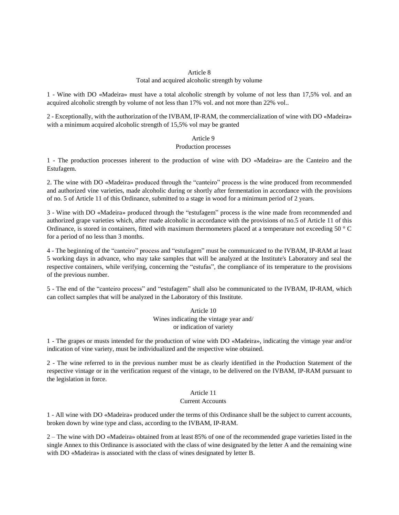# Article 8

#### Total and acquired alcoholic strength by volume

1 - Wine with DO «Madeira» must have a total alcoholic strength by volume of not less than 17,5% vol. and an acquired alcoholic strength by volume of not less than 17% vol. and not more than 22% vol..

2 - Exceptionally, with the authorization of the IVBAM, IP-RAM, the commercialization of wine with DO «Madeira» with a minimum acquired alcoholic strength of 15,5% vol may be granted

#### Article 9

# Production processes

1 - The production processes inherent to the production of wine with DO «Madeira» are the Canteiro and the Estufagem.

2. The wine with DO «Madeira» produced through the "canteiro" process is the wine produced from recommended and authorized vine varieties, made alcoholic during or shortly after fermentation in accordance with the provisions of no. 5 of Article 11 of this Ordinance, submitted to a stage in wood for a minimum period of 2 years.

3 - Wine with DO «Madeira» produced through the "estufagem" process is the wine made from recommended and authorized grape varieties which, after made alcoholic in accordance with the provisions of no.5 of Article 11 of this Ordinance, is stored in containers, fitted with maximum thermometers placed at a temperature not exceeding  $50 \degree C$ for a period of no less than 3 months.

4 - The beginning of the "canteiro" process and "estufagem" must be communicated to the IVBAM, IP-RAM at least 5 working days in advance, who may take samples that will be analyzed at the Institute's Laboratory and seal the respective containers, while verifying, concerning the "estufas", the compliance of its temperature to the provisions of the previous number.

5 - The end of the "canteiro process" and "estufagem" shall also be communicated to the IVBAM, IP-RAM, which can collect samples that will be analyzed in the Laboratory of this Institute.

> Article 10 Wines indicating the vintage year and/ or indication of variety

1 - The grapes or musts intended for the production of wine with DO «Madeira», indicating the vintage year and/or indication of vine variety, must be individualized and the respective wine obtained.

2 - The wine referred to in the previous number must be as clearly identified in the Production Statement of the respective vintage or in the verification request of the vintage, to be delivered on the IVBAM, IP-RAM pursuant to the legislation in force.

## Article 11

#### Current Accounts

1 - All wine with DO «Madeira» produced under the terms of this Ordinance shall be the subject to current accounts, broken down by wine type and class, according to the IVBAM, IP-RAM.

2 – The wine with DO «Madeira» obtained from at least 85% of one of the recommended grape varieties listed in the single Annex to this Ordinance is associated with the class of wine designated by the letter A and the remaining wine with DO «Madeira» is associated with the class of wines designated by letter B.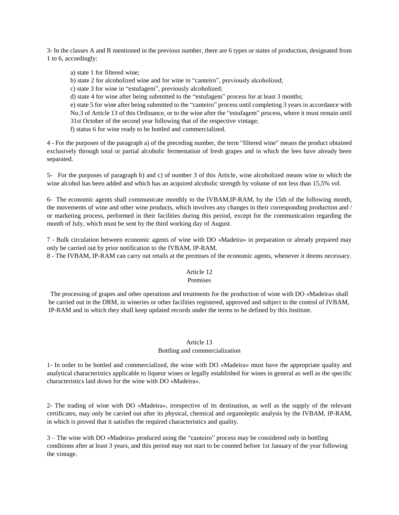3- In the classes A and B mentioned in the previous number, there are 6 types or states of production, designated from 1 to 6, accordingly:

a) state 1 for filtered wine;

b) state 2 for alcoholized wine and for wine in "canteiro", previously alcoholized;

c) state 3 for wine in "estufagem", previously alcoholized;

d) state 4 for wine after being submitted to the "estufagem" process for at least 3 months;

e) state 5 for wine after being submitted to the "canteiro" process until completing 3 years in accordance with No.3 of Article 13 of this Ordinance, or to the wine after the "estufagem" process, where it must remain until 31st October of the second year following that of the respective vintage;

f) status 6 for wine ready to be bottled and commercialized.

4 - For the purposes of the paragraph a) of the preceding number, the term "filtered wine" means the product obtained exclusively through total or partial alcoholic fermentation of fresh grapes and in which the lees have already been separated.

5- For the purposes of paragraph b) and c) of number 3 of this Article, wine alcoholized means wine to which the wine alcohol has been added and which has an acquired alcoholic strength by volume of not less than 15,5% vol.

6- The economic agents shall communicate monthly to the IVBAM,IP-RAM, by the 15th of the following month, the movements of wine and other wine products, which involves any changes in their corresponding production and / or marketing process, performed in their facilities during this period, except for the communication regarding the month of July, which must be sent by the third working day of August.

7 - Bulk circulation between economic agents of wine with DO «Madeira» in preparation or already prepared may only be carried out by prior notification to the IVBAM, IP-RAM.

8 - The IVBAM, IP-RAM can carry out retails at the premises of the economic agents, whenever it deems necessary.

# Article 12

# Premises

The processing of grapes and other operations and treatments for the production of wine with DO «Madeira» shall be carried out in the DRM, in wineries or other facilities registered, approved and subject to the control of IVBAM, IP-RAM and in which they shall keep updated records under the terms to be defined by this Institute.

# Article 13 Bottling and commercialization

1- In order to be bottled and commercialized, the wine with DO «Madeira» must have the appropriate quality and analytical characteristics applicable to liqueur wines or legally established for wines in general as well as the specific characteristics laid down for the wine with DO «Madeira».

2- The trading of wine with DO «Madeira», irrespective of its destination, as well as the supply of the relevant certificates, may only be carried out after its physical, chemical and organoleptic analysis by the IVBAM, IP-RAM, in which is proved that it satisfies the required characteristics and quality.

3 – The wine with DO «Madeira» produced using the "canteiro" process may be considered only in bottling conditions after at least 3 years, and this period may not start to be counted before 1st January of the year following the vintage.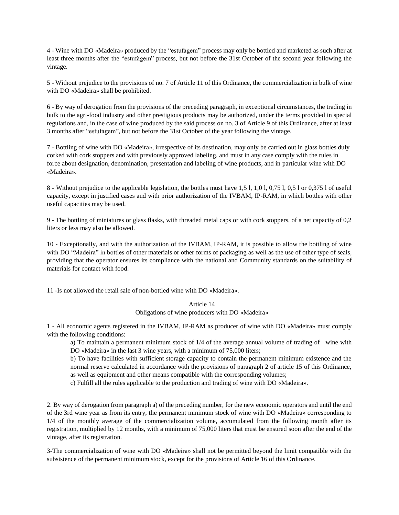4 - Wine with DO «Madeira» produced by the "estufagem" process may only be bottled and marketed as such after at least three months after the "estufagem" process, but not before the 31st October of the second year following the vintage.

5 - Without prejudice to the provisions of no. 7 of Article 11 of this Ordinance, the commercialization in bulk of wine with DO «Madeira» shall be prohibited.

6 - By way of derogation from the provisions of the preceding paragraph, in exceptional circumstances, the trading in bulk to the agri-food industry and other prestigious products may be authorized, under the terms provided in special regulations and, in the case of wine produced by the said process on no. 3 of Article 9 of this Ordinance, after at least 3 months after "estufagem", but not before the 31st October of the year following the vintage.

7 - Bottling of wine with DO «Madeira», irrespective of its destination, may only be carried out in glass bottles duly corked with cork stoppers and with previously approved labeling, and must in any case comply with the rules in force about designation, denomination, presentation and labeling of wine products, and in particular wine with DO «Madeira».

8 - Without prejudice to the applicable legislation, the bottles must have 1,5 l, 1,0 l, 0,75 l, 0,5 l or 0,375 l of useful capacity, except in justified cases and with prior authorization of the IVBAM, IP-RAM, in which bottles with other useful capacities may be used.

9 - The bottling of miniatures or glass flasks, with threaded metal caps or with cork stoppers, of a net capacity of 0,2 liters or less may also be allowed.

10 - Exceptionally, and with the authorization of the IVBAM, IP-RAM, it is possible to allow the bottling of wine with DO "Madeira" in bottles of other materials or other forms of packaging as well as the use of other type of seals, providing that the operator ensures its compliance with the national and Community standards on the suitability of materials for contact with food.

11 -Is not allowed the retail sale of non-bottled wine with DO «Madeira».

# Article 14

Obligations of wine producers with DO «Madeira»

1 - All economic agents registered in the IVBAM, IP-RAM as producer of wine with DO «Madeira» must comply with the following conditions:

a) To maintain a permanent minimum stock of 1/4 of the average annual volume of trading of wine with DO «Madeira» in the last 3 wine years, with a minimum of 75,000 liters;

b) To have facilities with sufficient storage capacity to contain the permanent minimum existence and the normal reserve calculated in accordance with the provisions of paragraph 2 of article 15 of this Ordinance, as well as equipment and other means compatible with the corresponding volumes;

c) Fulfill all the rules applicable to the production and trading of wine with DO «Madeira».

2. By way of derogation from paragraph a) of the preceding number, for the new economic operators and until the end of the 3rd wine year as from its entry, the permanent minimum stock of wine with DO «Madeira» corresponding to 1/4 of the monthly average of the commercialization volume, accumulated from the following month after its registration, multiplied by 12 months, with a minimum of 75,000 liters that must be ensured soon after the end of the vintage, after its registration.

3-The commercialization of wine with DO «Madeira» shall not be permitted beyond the limit compatible with the subsistence of the permanent minimum stock, except for the provisions of Article 16 of this Ordinance.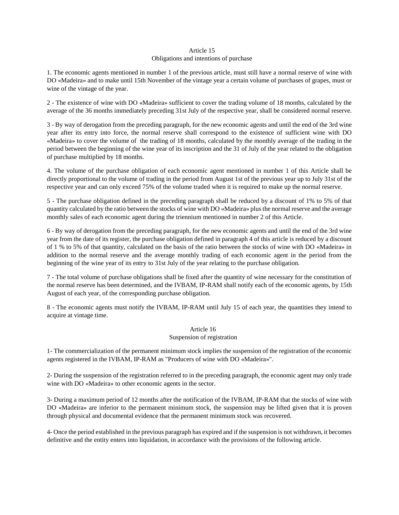# Article 15 Obligations and intentions of purchase

1. The economic agents mentioned in number 1 of the previous article, must still have a normal reserve of wine with DO «Madeira» and to make until 15th November of the vintage year a certain volume of purchases of grapes, must or wine of the vintage of the year.

2 - The existence of wine with DO «Madeira» sufficient to cover the trading volume of 18 months, calculated by the average of the 36 months immediately preceding 31st July of the respective year, shall be considered normal reserve.

3 - By way of derogation from the preceding paragraph, for the new economic agents and until the end of the 3rd wine year after its entry into force, the normal reserve shall correspond to the existence of sufficient wine with DO «Madeira» to cover the volume of the trading of 18 months, calculated by the monthly average of the trading in the period between the beginning of the wine year of its inscription and the 31 of July of the year related to the obligation of purchase multiplied by 18 months.

4. The volume of the purchase obligation of each economic agent mentioned in number 1 of this Article shall be directly proportional to the volume of trading in the period from August 1st of the previous year up to July 31st of the respective year and can only exceed 75% of the volume traded when it is required to make up the normal reserve.

5 - The purchase obligation defined in the preceding paragraph shall be reduced by a discount of 1% to 5% of that quantity calculated by the ratio between the stocks of wine with DO «Madeira» plus the normal reserve and the average monthly sales of each economic agent during the triennium mentioned in number 2 of this Article.

6 - By way of derogation from the preceding paragraph, for the new economic agents and until the end of the 3rd wine year from the date of its register, the purchase obligation defined in paragraph 4 of this article is reduced by a discount of 1 % to 5% of that quantity, calculated on the basis of the ratio between the stocks of wine with DO «Madeira» in addition to the normal reserve and the average monthly trading of each economic agent in the period from the beginning of the wine year of its entry to 31st July of the year relating to the purchase obligation.

7 - The total volume of purchase obligations shall be fixed after the quantity of wine necessary for the constitution of the normal reserve has been determined, and the IVBAM, IP-RAM shall notify each of the economic agents, by 15th August of each year, of the corresponding purchase obligation.

8 - The economic agents must notify the IVBAM, IP-RAM until July 15 of each year, the quantities they intend to acquire at vintage time.

# Article 16

# Suspension of registration

1- The commercialization of the permanent minimum stock implies the suspension of the registration of the economic agents registered in the IVBAM, IP-RAM as "Producers of wine with DO «Madeira»".

2- During the suspension of the registration referred to in the preceding paragraph, the economic agent may only trade wine with DO «Madeira» to other economic agents in the sector.

3- During a maximum period of 12 months after the notification of the IVBAM, IP-RAM that the stocks of wine with DO «Madeira» are inferior to the permanent minimum stock, the suspension may be lifted given that it is proven through physical and documental evidence that the permanent minimum stock was recovered.

4- Once the period established in the previous paragraph has expired and if the suspension is not withdrawn, it becomes definitive and the entity enters into liquidation, in accordance with the provisions of the following article.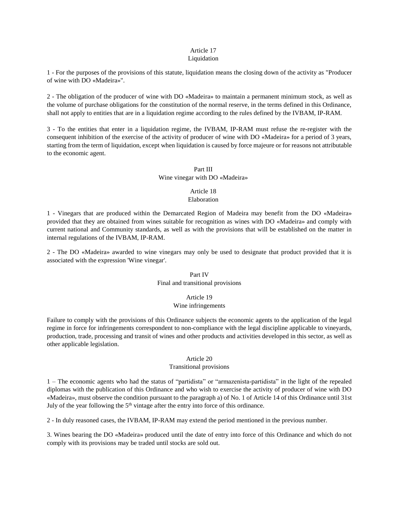# Article 17

# Liquidation

1 - For the purposes of the provisions of this statute, liquidation means the closing down of the activity as "Producer of wine with DO «Madeira»".

2 - The obligation of the producer of wine with DO «Madeira» to maintain a permanent minimum stock, as well as the volume of purchase obligations for the constitution of the normal reserve, in the terms defined in this Ordinance, shall not apply to entities that are in a liquidation regime according to the rules defined by the IVBAM, IP-RAM.

3 - To the entities that enter in a liquidation regime, the IVBAM, IP-RAM must refuse the re-register with the consequent inhibition of the exercise of the activity of producer of wine with DO «Madeira» for a period of 3 years, starting from the term of liquidation, except when liquidation is caused by force majeure or for reasons not attributable to the economic agent.

# Part III

# Wine vinegar with DO «Madeira»

# Article 18 Elaboration

1 - Vinegars that are produced within the Demarcated Region of Madeira may benefit from the DO «Madeira» provided that they are obtained from wines suitable for recognition as wines with DO «Madeira» and comply with current national and Community standards, as well as with the provisions that will be established on the matter in internal regulations of the IVBAM, IP-RAM.

2 - The DO «Madeira» awarded to wine vinegars may only be used to designate that product provided that it is associated with the expression 'Wine vinegar'.

# Part IV Final and transitional provisions

# Article 19

# Wine infringements

Failure to comply with the provisions of this Ordinance subjects the economic agents to the application of the legal regime in force for infringements correspondent to non-compliance with the legal discipline applicable to vineyards, production, trade, processing and transit of wines and other products and activities developed in this sector, as well as other applicable legislation.

## Article 20

# Transitional provisions

1 – The economic agents who had the status of "partidista" or "armazenista-partidista" in the light of the repealed diplomas with the publication of this Ordinance and who wish to exercise the activity of producer of wine with DO «Madeira», must observe the condition pursuant to the paragraph a) of No. 1 of Article 14 of this Ordinance until 31st July of the year following the  $5<sup>th</sup>$  vintage after the entry into force of this ordinance.

2 - In duly reasoned cases, the IVBAM, IP-RAM may extend the period mentioned in the previous number.

3. Wines bearing the DO «Madeira» produced until the date of entry into force of this Ordinance and which do not comply with its provisions may be traded until stocks are sold out.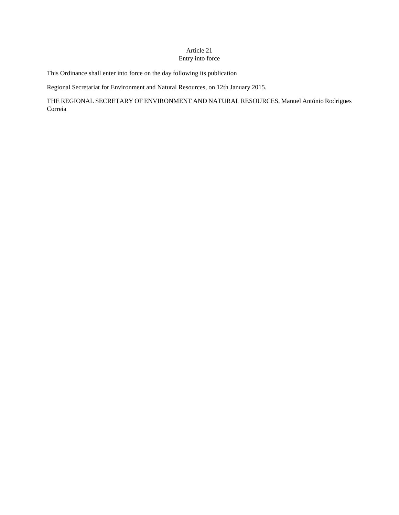# Article 21 Entry into force

This Ordinance shall enter into force on the day following its publication

Regional Secretariat for Environment and Natural Resources, on 12th January 2015.

THE REGIONAL SECRETARY OF ENVIRONMENT AND NATURAL RESOURCES, Manuel António Rodrigues Correia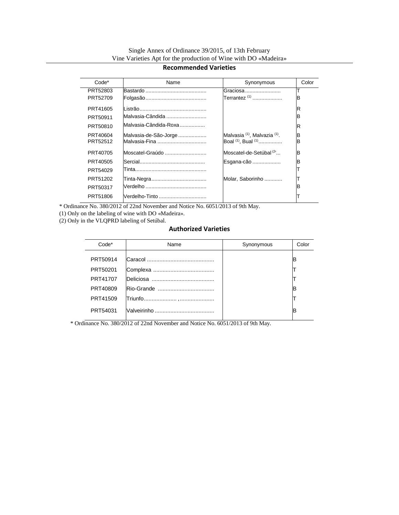# **Recommended Varieties**

| Code*    | Name                  | Synonymous                                          | Color |
|----------|-----------------------|-----------------------------------------------------|-------|
| PRT52803 |                       | Graciosa                                            |       |
| PRT52709 |                       | Terrantez <sup>(1)</sup>                            | в     |
| PRT41605 |                       |                                                     | R     |
| PRT50911 | Malvasia-Cândida      |                                                     | в     |
| PRT50810 | Malvasia-Cândida-Roxa |                                                     | R     |
| PRT40604 | Malvasia-de-São-Jorge | Malvasia <sup>(1)</sup> , Malvazia <sup>(1)</sup> . | B     |
| PRT52512 | Malvasia-Fina         | Boal (1), Bual (1)                                  | B     |
| PRT40705 | Moscatel-Graúdo       | Moscatel-de-Setúbal <sup>(2'</sup>                  | B     |
| PRT40505 |                       | Esgana-cão                                          | в     |
| PRT54029 |                       |                                                     |       |
| PRT51202 |                       | Molar, Saborinho                                    |       |
| PRT50317 |                       |                                                     | в     |
| PRT51806 | Verdelho-Tinto        |                                                     |       |

\* Ordinance No. 380/2012 of 22nd November and Notice No. 6051/2013 of 9th May.

(1) Only on the labeling of wine with DO «Madeira».

(2) Only in the VLQPRD labeling of Setúbal.

# **Authorized Varieties**

| Code*    | Name | Synonymous | Color |
|----------|------|------------|-------|
| PRT50914 |      |            | IB    |
| PRT50201 |      |            |       |
| PRT41707 |      |            |       |
| PRT40809 |      |            | IB    |
| PRT41509 |      |            |       |
| PRT54031 |      |            | IB    |

\* Ordinance No. 380/2012 of 22nd November and Notice No. 6051/2013 of 9th May.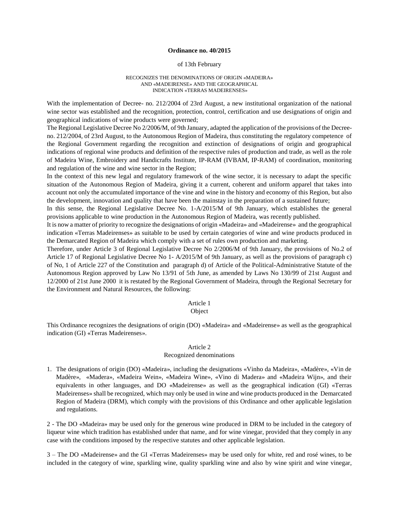#### **Ordinance no. 40/2015**

#### of 13th February

#### RECOGNIZES THE DENOMINATIONS OF ORIGIN «MADEIRA» AND «MADEIRENSE» AND THE GEOGRAPHICAL INDICATION «TERRAS MADEIRENSES»

With the implementation of Decree- no. 212/2004 of 23rd August, a new institutional organization of the national wine sector was established and the recognition, protection, control, certification and use designations of origin and geographical indications of wine products were governed;

The Regional Legislative Decree No 2/2006/M, of 9th January, adapted the application of the provisions of the Decreeno. 212/2004, of 23rd August, to the Autonomous Region of Madeira, thus constituting the regulatory competence of the Regional Government regarding the recognition and extinction of designations of origin and geographical indications of regional wine products and definition of the respective rules of production and trade, as well as the role of Madeira Wine, Embroidery and Handicrafts Institute, IP-RAM (IVBAM, IP-RAM) of coordination, monitoring and regulation of the wine and wine sector in the Region;

In the context of this new legal and regulatory framework of the wine sector, it is necessary to adapt the specific situation of the Autonomous Region of Madeira, giving it a current, coherent and uniform apparel that takes into account not only the accumulated importance of the vine and wine in the history and economy of this Region, but also the development, innovation and quality that have been the mainstay in the preparation of a sustained future;

In this sense, the Regional Legislative Decree No. 1-A/2015/M of 9th January, which establishes the general provisions applicable to wine production in the Autonomous Region of Madeira, was recently published.

It is now a matter of priority to recognize the designations of origin «Madeira» and «Madeirense» and the geographical indication «Terras Madeirenses» as suitable to be used by certain categories of wine and wine products produced in the Demarcated Region of Madeira which comply with a set of rules own production and marketing.

Therefore, under Article 3 of Regional Legislative Decree No 2/2006/M of 9th January, the provisions of No.2 of Article 17 of Regional Legislative Decree No 1- A/2015/M of 9th January, as well as the provisions of paragraph c) of No, 1 of Article 227 of the Constitution and paragraph d) of Article of the Political-Administrative Statute of the Autonomous Region approved by Law No 13/91 of 5th June, as amended by Laws No 130/99 of 21st August and 12/2000 of 21st June 2000 it is restated by the Regional Government of Madeira, through the Regional Secretary for the Environment and Natural Resources, the following:

#### Article 1

# **Object**

This Ordinance recognizes the designations of origin (DO) «Madeira» and «Madeirense» as well as the geographical indication (GI) «Terras Madeirenses».

# Article 2

#### Recognized denominations

1. The designations of origin (DO) «Madeira», including the designations «Vinho da Madeira», «Madère», «Vin de Madère», «Madera», «Madeira Wein», «Madeira Wine», «Vino di Madera» and «Madeira Wijn», and their equivalents in other languages, and DO «Madeirense» as well as the geographical indication (GI) «Terras Madeirenses» shall be recognized, which may only be used in wine and wine products produced in the Demarcated Region of Madeira (DRM), which comply with the provisions of this Ordinance and other applicable legislation and regulations.

2 - The DO «Madeira» may be used only for the generous wine produced in DRM to be included in the category of liqueur wine which tradition has established under that name, and for wine vinegar, provided that they comply in any case with the conditions imposed by the respective statutes and other applicable legislation.

3 – The DO «Madeirense» and the GI «Terras Madeirenses» may be used only for white, red and rosé wines, to be included in the category of wine, sparkling wine, quality sparkling wine and also by wine spirit and wine vinegar,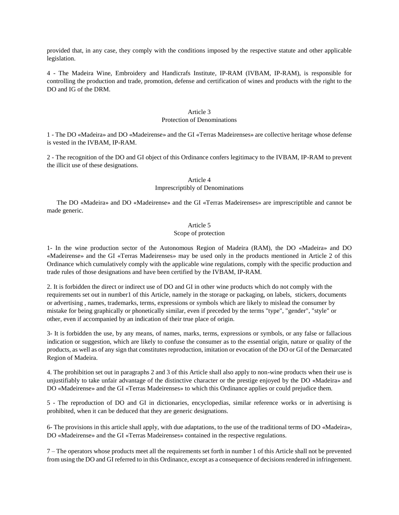provided that, in any case, they comply with the conditions imposed by the respective statute and other applicable legislation.

4 - The Madeira Wine, Embroidery and Handicrafs Institute, IP-RAM (IVBAM, IP-RAM), is responsible for controlling the production and trade, promotion, defense and certification of wines and products with the right to the DO and IG of the DRM.

# Article 3

#### Protection of Denominations

1 - The DO «Madeira» and DO «Madeirense» and the GI «Terras Madeirenses» are collective heritage whose defense is vested in the IVBAM, IP-RAM.

2 - The recognition of the DO and GI object of this Ordinance confers legitimacy to the IVBAM, IP-RAM to prevent the illicit use of these designations.

## Article 4

# Imprescriptibly of Denominations

The DO «Madeira» and DO «Madeirense» and the GI «Terras Madeirenses» are imprescriptible and cannot be made generic.

# Article 5

## Scope of protection

1- In the wine production sector of the Autonomous Region of Madeira (RAM), the DO «Madeira» and DO «Madeirense» and the GI «Terras Madeirenses» may be used only in the products mentioned in Article 2 of this Ordinance which cumulatively comply with the applicable wine regulations, comply with the specific production and trade rules of those designations and have been certified by the IVBAM, IP-RAM.

2. It is forbidden the direct or indirect use of DO and GI in other wine products which do not comply with the requirements set out in number1 of this Article, namely in the storage or packaging, on labels, stickers, documents or advertising , names, trademarks, terms, expressions or symbols which are likely to mislead the consumer by mistake for being graphically or phonetically similar, even if preceded by the terms "type", "gender", "style" or other, even if accompanied by an indication of their true place of origin.

3- It is forbidden the use, by any means, of names, marks, terms, expressions or symbols, or any false or fallacious indication or suggestion, which are likely to confuse the consumer as to the essential origin, nature or quality of the products, as well as of any sign that constitutes reproduction, imitation or evocation of the DO or GI of the Demarcated Region of Madeira.

4. The prohibition set out in paragraphs 2 and 3 of this Article shall also apply to non-wine products when their use is unjustifiably to take unfair advantage of the distinctive character or the prestige enjoyed by the DO «Madeira» and DO «Madeirense» and the GI «Terras Madeirenses» to which this Ordinance applies or could prejudice them.

5 - The reproduction of DO and GI in dictionaries, encyclopedias, similar reference works or in advertising is prohibited, when it can be deduced that they are generic designations.

6- The provisions in this article shall apply, with due adaptations, to the use of the traditional terms of DO «Madeira», DO «Madeirense» and the GI «Terras Madeirenses» contained in the respective regulations.

7 – The operators whose products meet all the requirements set forth in number 1 of this Article shall not be prevented from using the DO and GI referred to in this Ordinance, except as a consequence of decisions rendered in infringement.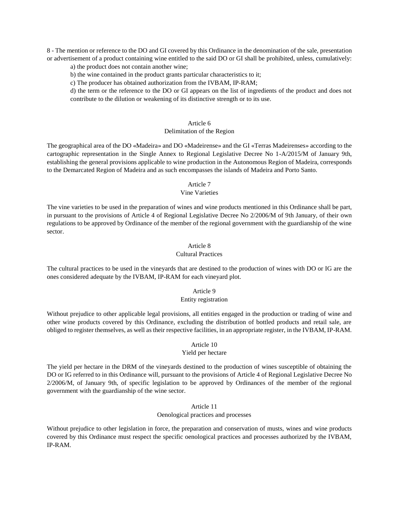8 - The mention or reference to the DO and GI covered by this Ordinance in the denomination of the sale, presentation or advertisement of a product containing wine entitled to the said DO or GI shall be prohibited, unless, cumulatively:

a) the product does not contain another wine;

b) the wine contained in the product grants particular characteristics to it;

c) The producer has obtained authorization from the IVBAM, IP-RAM;

d) the term or the reference to the DO or GI appears on the list of ingredients of the product and does not contribute to the dilution or weakening of its distinctive strength or to its use.

### Article 6

#### Delimitation of the Region

The geographical area of the DO «Madeira» and DO «Madeirense» and the GI «Terras Madeirenses» according to the cartographic representation in the Single Annex to Regional Legislative Decree No 1-A/2015/M of January 9th, establishing the general provisions applicable to wine production in the Autonomous Region of Madeira, corresponds to the Demarcated Region of Madeira and as such encompasses the islands of Madeira and Porto Santo.

## Article 7

# Vine Varieties

The vine varieties to be used in the preparation of wines and wine products mentioned in this Ordinance shall be part, in pursuant to the provisions of Article 4 of Regional Legislative Decree No 2/2006/M of 9th January, of their own regulations to be approved by Ordinance of the member of the regional government with the guardianship of the wine sector.

# Article 8 Cultural Practices

The cultural practices to be used in the vineyards that are destined to the production of wines with DO or IG are the ones considered adequate by the IVBAM, IP-RAM for each vineyard plot.

## Article 9 Entity registration

Without prejudice to other applicable legal provisions, all entities engaged in the production or trading of wine and other wine products covered by this Ordinance, excluding the distribution of bottled products and retail sale, are obliged to register themselves, as well as their respective facilities, in an appropriate register, in the IVBAM, IP-RAM.

# Article 10

# Yield per hectare

The yield per hectare in the DRM of the vineyards destined to the production of wines susceptible of obtaining the DO or IG referred to in this Ordinance will, pursuant to the provisions of Article 4 of Regional Legislative Decree No 2/2006/M, of January 9th, of specific legislation to be approved by Ordinances of the member of the regional government with the guardianship of the wine sector.

# Article 11 Oenological practices and processes

Without prejudice to other legislation in force, the preparation and conservation of musts, wines and wine products covered by this Ordinance must respect the specific oenological practices and processes authorized by the IVBAM, IP-RAM.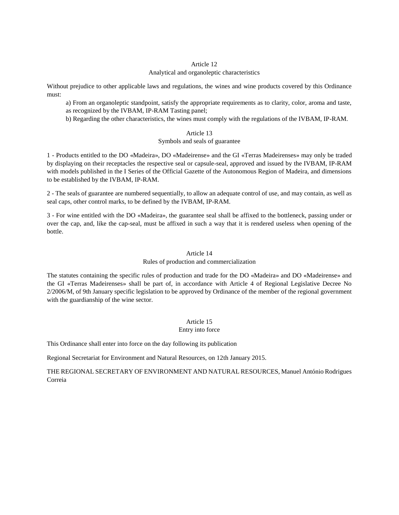# Article 12

# Analytical and organoleptic characteristics

Without prejudice to other applicable laws and regulations, the wines and wine products covered by this Ordinance must:

a) From an organoleptic standpoint, satisfy the appropriate requirements as to clarity, color, aroma and taste, as recognized by the IVBAM, IP-RAM Tasting panel;

b) Regarding the other characteristics, the wines must comply with the regulations of the IVBAM, IP-RAM.

## Article 13

# Symbols and seals of guarantee

1 - Products entitled to the DO «Madeira», DO «Madeirense» and the GI «Terras Madeirenses» may only be traded by displaying on their receptacles the respective seal or capsule-seal, approved and issued by the IVBAM, IP-RAM with models published in the I Series of the Official Gazette of the Autonomous Region of Madeira, and dimensions to be established by the IVBAM, IP-RAM.

2 - The seals of guarantee are numbered sequentially, to allow an adequate control of use, and may contain, as well as seal caps, other control marks, to be defined by the IVBAM, IP-RAM.

3 - For wine entitled with the DO «Madeira», the guarantee seal shall be affixed to the bottleneck, passing under or over the cap, and, like the cap-seal, must be affixed in such a way that it is rendered useless when opening of the bottle.

# Article 14

# Rules of production and commercialization

The statutes containing the specific rules of production and trade for the DO «Madeira» and DO «Madeirense» and the GI «Terras Madeirenses» shall be part of, in accordance with Article 4 of Regional Legislative Decree No 2/2006/M, of 9th January specific legislation to be approved by Ordinance of the member of the regional government with the guardianship of the wine sector.

# Article 15

## Entry into force

This Ordinance shall enter into force on the day following its publication

Regional Secretariat for Environment and Natural Resources, on 12th January 2015.

THE REGIONAL SECRETARY OF ENVIRONMENT AND NATURAL RESOURCES, Manuel António Rodrigues Correia